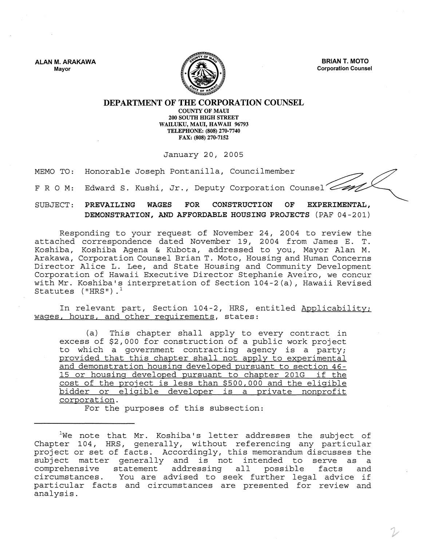ALAN M. ARAKAWA Mayor



BRIAN T. MOTO Corporation Counsel

DEPARTMENT OF THE CORPORATION COUNSEL

COUNTY OF MAUl 200 SOUTH HIGH STREET WAILUKU, MAUl, HAWAII 96793 TELEPHONE: (808) 270-7740 FAX: (808) 270-7152

January 20, 2005

MEMO TO: Honorable Joseph Pontanilla, Councilmember

F R O M: Edward S. Kushi, Jr., Deputy Corporation Counsel

SUBJECT: PREVAILING WAGES FOR CONSTRUCTION OF EXPERIMENTAL, DEMONSTRATION, AND AFFORDABLE HOUSING PROJECTS (PAF 04-201)

Responding to your request of November 24, 2004 to review the attached correspondence dated November 19, 2004 from James E. T. Koshiba, Koshiba Agena & Kubota, addressed to you, Mayor Alan M. Arakawa, Corporation Counsel Brian T. Moto, Housing and Human Concerns Director Alice L. Lee, and State Housing and Community Development Corporation of Hawaii Executive Director Stephanie Aveiro, we concur with Mr. Koshiba's interpretation of Section 104-2(a), Hawaii Revised Statutes  $('HRS")$ .<sup>1</sup>

In relevant part, Section 104-2, HRS, entitled Applicability; wages, hours, and other requirements, states:

(a) This chapter shall apply to every contract in excess of \$2,000 for construction of a public work project to which a government contracting agency is a party; provided that this chapter shall not apply to experimental and demonstration housing developed pursuant to section 46- 15 or housing developed pursuant to chapter 201G if the cost of the project is less than \$500,000 and the eligible bidder or eligible developer is a private nonprofit corporation.

For the purposes of this subsection:

 $1$ We note that Mr. Koshiba's letter addresses the subject of Chapter 104, HRS, generally, without referencing any particular project or set of facts. Accordingly, this memorandum discusses the project of bee of faces. Accordingly, entb memorandum diseasses ene<br>subject matter generally and is not intended to serve as a comprehensive statement addressing all possible facts and comprehensive statement addressing all possible facts and<br>circumstances. You are advised to seek further legal advice if particular facts and circumstances are presented for review and analysis.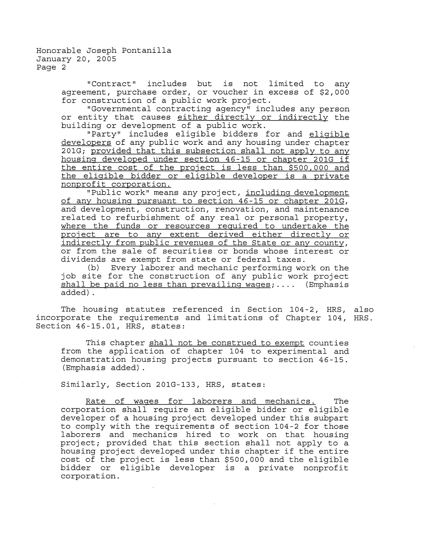Honorable Joseph Pontanilla January 20, 2005 Page 2

> "Contract" includes but is not limited to any agreement, purchase order, or voucher in excess of \$2,000 for construction of a public work project.

> "Governmental contracting agency" includes any person or entity that causes either directly or indirectly the building or development of a public work.

> "Party" includes eligible bidders for and eligible developers of any public work and any housing under chapter 201G; provided that this subsection shall not apply to any housing developed under section 46-15 or chapter 201G if the entire cost of the project is less than \$500,000 and the eligible bidder or eligible developer is a private nonprofit corporation.

> "Public work" means any project, including development of any housing pursuant to section 46-15 or chapter 201G, and development, construction, renovation, and maintenance related to refurbishment of any real or personal property, where the funds or resources required to undertake the project are to any extent derived either directly or indirectly from public revenues of the State or any county, or from the sale of securities or bonds whose interest or dividends are exempt from state or federal taxes.

> (b) Every laborer and mechanic performing work on the job site for the construction of any public work project shall be paid no less than prevailing wages; .... (Emphasis added) .

The housing statutes referenced in Section 104-2, HRS, also incorporate the requirements and limitations of Chapter 104, HRS. Section 46-15.01, HRS, states:

This chapter shall not be construed to exempt counties from the application of chapter 104 to experimental and demonstration housing projects pursuant to section 46-15. (Emphasis added) .

Similarly, Section 201G-133, HRS, states:

Rate of wages for laborers and mechanics. The corporation shall require an eligible bidder or eligible developer of a housing project developed under this subpart to comply with the requirements of section 104-2 for those laborers and mechanics hired to work on that housing project; provided that this section shall not apply to a housing project developed under this chapter if the entire cost of the project is less than \$500,000 and the eligible bidder or eligible developer is a private nonprofit corporation.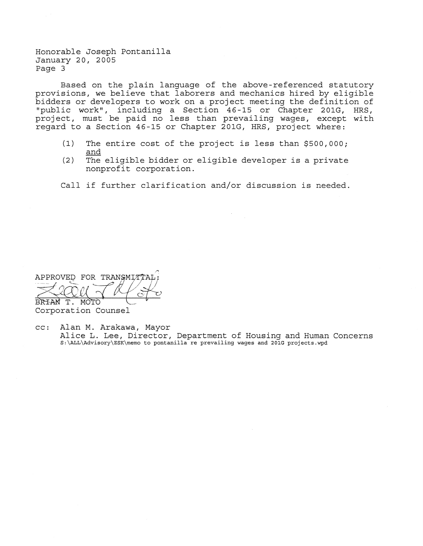Honorable Joseph Pontanilla January 20, 2005 Page 3

Based on the plain language of the above-referenced statutory provisions, we believe that laborers and mechanics hired by eligible bidders or developers to work on a project meeting the definition of "public work", including a Section 46-15 or Chapter 201G, HRS, project, must be paid no less than prevailing wages, except with regard to a Section 46-15 or Chapter 201G, HRS, project where:

- (1) The entire cost of the project is less than \$500,000; and
- (2) The eligible bidder or eligible developer is a private nonprofit corporation.

Call if further clarification and/or discussion is needed.

APPROVED FOR TRANSMITTA BRIAN T. MOTÓ

Corporation Counsel

cc: Alan M. Arakawa, Mayor Alice L. Lee, Director, Department of Housing and Human Concerns S:\ALL\Advisory\ESK\memo to pontanilla re prevailing wages and 201G projects.wpd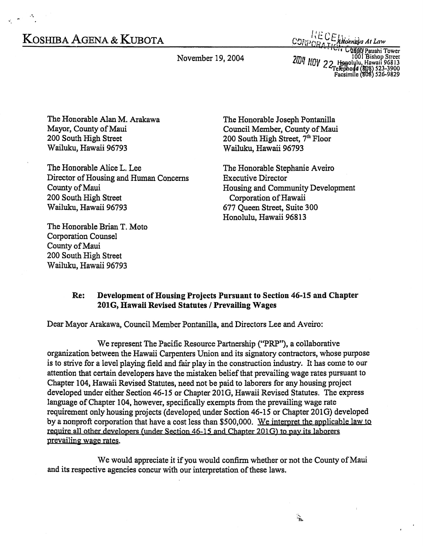## KOSHIBA AGENA & KUBOTA

November 19, 2004

*INECE Altornelys At Law*<br>CRATICLE OF ALLOW

*Chigo Pauahi Tower* 7001 Bishop Street<br>1001 Bishop Street<br>2004 Popolylu, Hawaii 96813<br>723-3900 Facsimile (808) 523-9829

The Honorable Alan M. Arakawa Mayor, County of Maui 200 South High Street Wailuku, Hawaii 96793

The Honorable Alice L. Lee Director of Housing and Human Concerns County of Maui 200 South High Street Wailuku, Hawaii 96793

The Honorable Brian T. Moto Corporation Counsel County of Maui 200 South High Street Wailuku, Hawaii 96793

The Honorable Joseph Pontanilla Council Member, County of Maui 200 South High Street, 7<sup>th</sup> Floor Wailuku, Hawaii 96793

The Honorable Stephanie Aveiro Executive Director Housing and Community Development Corporation of Hawaii 677 Queen Street, Suite 300 Honolulu, Hawaii 96813

## Re: Development of Housing Projects Pursuant to Section 46-15 and Chapter 201G, Hawaii Revised Statutes / Prevailing Wages

Dear Mayor Arakawa, Council Member Pontanilla, and Directors Lee and Aveiro:

We represent The Pacific Resource Partnership (''PRP''), a collaborative organization between the Hawaii Carpenters Union and its signatory contractors, whose purpose is to strive for a level playing field and fair play in the construction industry. It has come to our attention that certain developers have the mistaken belief that prevailing wage rates pursuant to Chapter 104, Hawaii Revised Statutes, need not be paid to laborers for any housing project developed under either Section 46-15 or Chapter 201G, Hawaii Revised Statutes. The express language of Chapter 104, however, specifically exempts from the prevailing wage rate requirement only housing projects (developed under Section 46-15 or Chapter 201G) developed by a nonproft corporation that have a cost less than \$500,000. We interpret the applicable law to require all other developers (under Section 46-15 and Chapter 201G) to pay its laborers prevailing wage rates.

We would appreciate it if you would confirm whether or not the County of Maui and its respective agencies concur with our interpretation of these laws.

 $\mathbf{r}_{\mathrm{in}}$